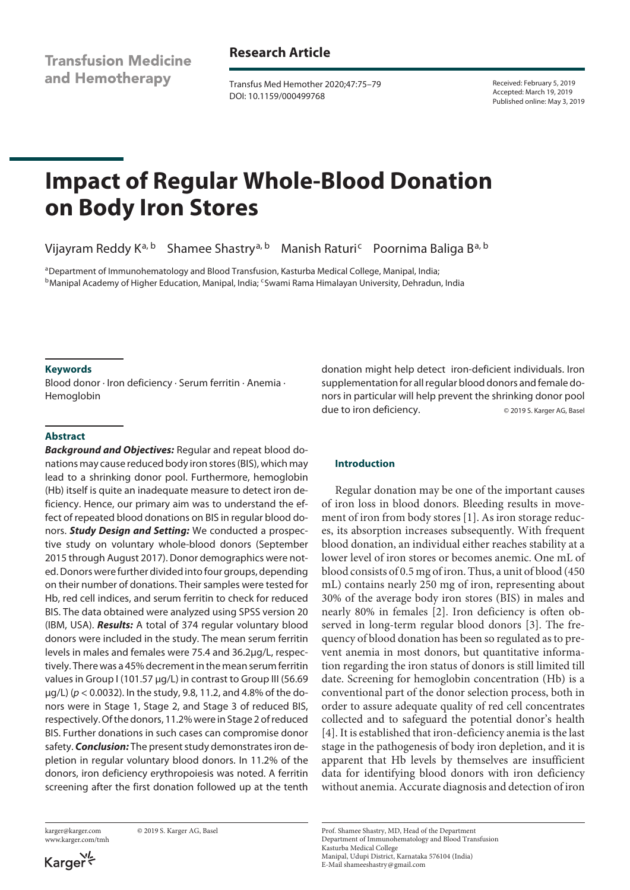**Transfusion Medicine** and Hemotherapy

## **Research Article**

Transfus Med Hemother 2020;47:75–79 DOI: 10.1159/000499768

Received: February 5, 2019 Accepted: March 19, 2019 Published online: May 3, 2019

# **Impact of Regular Whole-Blood Donation on Body Iron Stores**

Vijayram Reddy K<sup>a, b</sup> Shamee Shastry<sup>a, b</sup> Manish Raturi<sup>c</sup> Poornima Baliga B<sup>a, b</sup>

aDepartment of Immunohematology and Blood Transfusion, Kasturba Medical College, Manipal, India; bManipal Academy of Higher Education, Manipal, India; cSwami Rama Himalayan University, Dehradun, India

## **Keywords**

Blood donor · Iron deficiency · Serum ferritin · Anemia · Hemoglobin

## **Abstract**

*Background and Objectives:* Regular and repeat blood donations may cause reduced body iron stores (BIS), which may lead to a shrinking donor pool. Furthermore, hemoglobin (Hb) itself is quite an inadequate measure to detect iron deficiency. Hence, our primary aim was to understand the effect of repeated blood donations on BIS in regular blood donors. *Study Design and Setting:* We conducted a prospective study on voluntary whole-blood donors (September 2015 through August 2017). Donor demographics were noted. Donors were further divided into four groups, depending on their number of donations. Their samples were tested for Hb, red cell indices, and serum ferritin to check for reduced BIS. The data obtained were analyzed using SPSS version 20 (IBM, USA). *Results:* A total of 374 regular voluntary blood donors were included in the study. The mean serum ferritin levels in males and females were 75.4 and 36.2µg/L, respectively. There was a 45% decrement in the mean serum ferritin values in Group I (101.57 µg/L) in contrast to Group III (56.69 µg/L) (*p* < 0.0032). In the study, 9.8, 11.2, and 4.8% of the donors were in Stage 1, Stage 2, and Stage 3 of reduced BIS, respectively. Of the donors, 11.2% were in Stage 2 of reduced BIS. Further donations in such cases can compromise donor safety. *Conclusion:* The present study demonstrates iron depletion in regular voluntary blood donors. In 11.2% of the donors, iron deficiency erythropoiesis was noted. A ferritin screening after the first donation followed up at the tenth

www.karger.com/tmh

karger@karger.com © 2019 S. Karger AG, Basel

donation might help detect iron-deficient individuals. Iron supplementation for all regular blood donors and female donors in particular will help prevent the shrinking donor pool due to iron deficiency. © 2019 S. Karger AG, Basel

## **Introduction**

<span id="page-0-3"></span><span id="page-0-2"></span><span id="page-0-1"></span><span id="page-0-0"></span>Regular donation may be one of the important causes of iron loss in blood donors. Bleeding results in movement of iron from body stores [\[1\]](#page-4-0). As iron storage reduces, its absorption increases subsequently. With frequent blood donation, an individual either reaches stability at a lower level of iron stores or becomes anemic. One mL of blood consists of 0.5 mg of iron. Thus, a unit of blood (450 mL) contains nearly 250 mg of iron, representing about 30% of the average body iron stores (BIS) in males and nearly 80% in females [\[2](#page-4-1)]. Iron deficiency is often observed in long-term regular blood donors [\[3\]](#page-4-2). The frequency of blood donation has been so regulated as to prevent anemia in most donors, but quantitative information regarding the iron status of donors is still limited till date. Screening for hemoglobin concentration (Hb) is a conventional part of the donor selection process, both in order to assure adequate quality of red cell concentrates collected and to safeguard the potential donor's health [[4](#page-4-3)]. It is established that iron-deficiency anemia is the last stage in the pathogenesis of body iron depletion, and it is apparent that Hb levels by themselves are insufficient data for identifying blood donors with iron deficiency without anemia. Accurate diagnosis and detection of iron

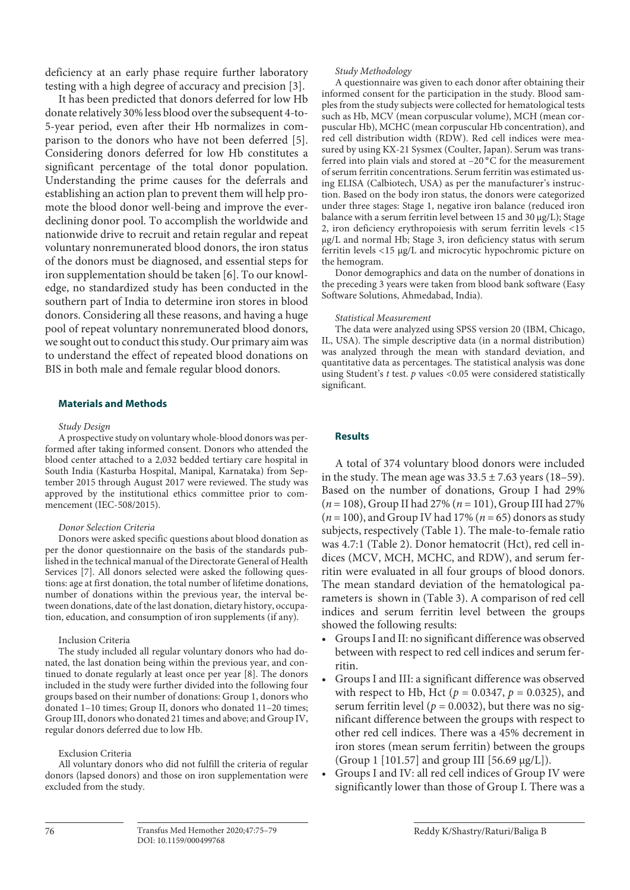deficiency at an early phase require further laboratory testing with a high degree of accuracy and precision [[3\]](#page-4-2).

<span id="page-1-0"></span>It has been predicted that donors deferred for low Hb donate relatively 30% less blood over the subsequent 4-to-5-year period, even after their Hb normalizes in comparison to the donors who have not been deferred [[5\]](#page-4-4). Considering donors deferred for low Hb constitutes a significant percentage of the total donor population. Understanding the prime causes for the deferrals and establishing an action plan to prevent them will help promote the blood donor well-being and improve the everdeclining donor pool. To accomplish the worldwide and nationwide drive to recruit and retain regular and repeat voluntary nonremunerated blood donors, the iron status of the donors must be diagnosed, and essential steps for iron supplementation should be taken [\[6\]](#page-4-5). To our knowledge, no standardized study has been conducted in the southern part of India to determine iron stores in blood donors. Considering all these reasons, and having a huge pool of repeat voluntary nonremunerated blood donors, we sought out to conduct this study. Our primary aim was to understand the effect of repeated blood donations on BIS in both male and female regular blood donors.

## <span id="page-1-1"></span>**Materials and Methods**

#### *Study Design*

A prospective study on voluntary whole-blood donors was performed after taking informed consent. Donors who attended the blood center attached to a 2,032 bedded tertiary care hospital in South India (Kasturba Hospital, Manipal, Karnataka) from September 2015 through August 2017 were reviewed. The study was approved by the institutional ethics committee prior to commencement (IEC-508/2015).

#### *Donor Selection Criteria*

Donors were asked specific questions about blood donation as per the donor questionnaire on the basis of the standards published in the technical manual of the Directorate General of Health Services [\[7](#page-4-6)]. All donors selected were asked the following questions: age at first donation, the total number of lifetime donations, number of donations within the previous year, the interval between donations, date of the last donation, dietary history, occupation, education, and consumption of iron supplements (if any).

#### Inclusion Criteria

The study included all regular voluntary donors who had donated, the last donation being within the previous year, and continued to donate regularly at least once per year [[8](#page-4-7)]. The donors included in the study were further divided into the following four groups based on their number of donations: Group 1, donors who donated 1–10 times; Group II, donors who donated 11–20 times; Group III, donors who donated 21 times and above; and Group IV, regular donors deferred due to low Hb.

#### Exclusion Criteria

All voluntary donors who did not fulfill the criteria of regular donors (lapsed donors) and those on iron supplementation were excluded from the study.

#### *Study Methodology*

A questionnaire was given to each donor after obtaining their informed consent for the participation in the study. Blood samples from the study subjects were collected for hematological tests such as Hb, MCV (mean corpuscular volume), MCH (mean corpuscular Hb), MCHC (mean corpuscular Hb concentration), and red cell distribution width (RDW). Red cell indices were measured by using KX-21 Sysmex (Coulter, Japan). Serum was transferred into plain vials and stored at  $-20^{\circ}$ C for the measurement of serum ferritin concentrations. Serum ferritin was estimated using ELISA (Calbiotech, USA) as per the manufacturer's instruction. Based on the body iron status, the donors were categorized under three stages: Stage 1, negative iron balance (reduced iron balance with a serum ferritin level between 15 and 30 µg/L); Stage 2, iron deficiency erythropoiesis with serum ferritin levels <15 µg/L and normal Hb; Stage 3, iron deficiency status with serum ferritin levels <15 µg/L and microcytic hypochromic picture on the hemogram.

Donor demographics and data on the number of donations in the preceding 3 years were taken from blood bank software (Easy Software Solutions, Ahmedabad, India).

#### *Statistical Measurement*

The data were analyzed using SPSS version 20 (IBM, Chicago, IL, USA). The simple descriptive data (in a normal distribution) was analyzed through the mean with standard deviation, and quantitative data as percentages. The statistical analysis was done using Student's *t* test. *p* values <0.05 were considered statistically significant.

## **Results**

A total of 374 voluntary blood donors were included in the study. The mean age was  $33.5 \pm 7.63$  years (18–59). Based on the number of donations, Group I had 29% (*n* = 108), Group II had 27% (*n* = 101), Group III had 27%  $(n = 100)$ , and Group IV had 17%  $(n = 65)$  donors as study subjects, respectively (Table 1). The male-to-female ratio was 4.7:1 (Table 2). Donor hematocrit (Hct), red cell indices (MCV, MCH, MCHC, and RDW), and serum ferritin were evaluated in all four groups of blood donors. The mean standard deviation of the hematological parameters is shown in (Table 3). A comparison of red cell indices and serum ferritin level between the groups showed the following results:

- Groups I and II: no significant difference was observed between with respect to red cell indices and serum ferritin.
- Groups I and III: a significant difference was observed with respect to Hb, Hct ( $p = 0.0347$ ,  $p = 0.0325$ ), and serum ferritin level ( $p = 0.0032$ ), but there was no significant difference between the groups with respect to other red cell indices. There was a 45% decrement in iron stores (mean serum ferritin) between the groups (Group 1 [101.57] and group III [56.69 µg/L]).
- Groups I and IV: all red cell indices of Group IV were significantly lower than those of Group I. There was a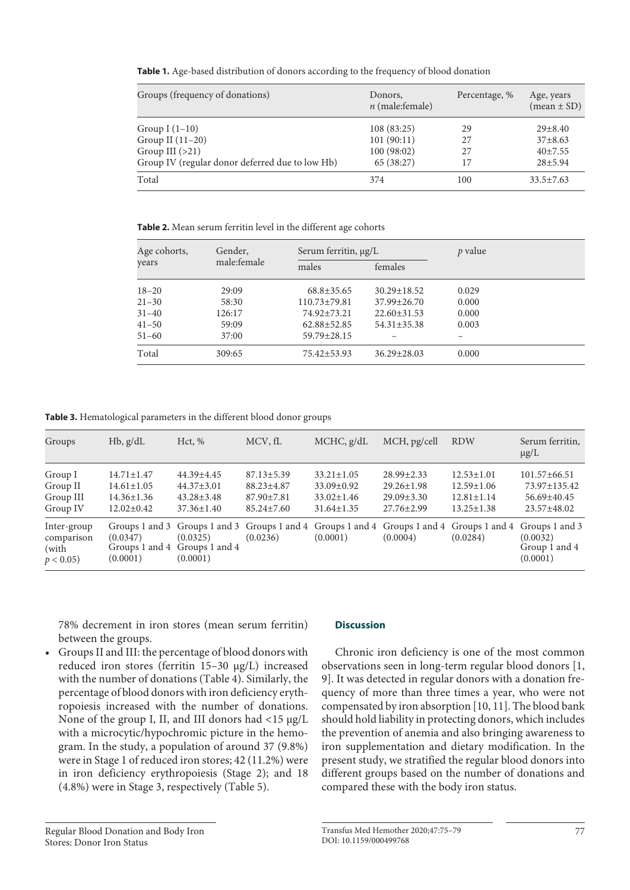**Table 1.** Age-based distribution of donors according to the frequency of blood donation

| Groups (frequency of donations)                 | Donors,<br>$n$ (male: female) | Percentage, % | Age, years<br>$(mean \pm SD)$ |
|-------------------------------------------------|-------------------------------|---------------|-------------------------------|
| Group I $(1-10)$                                | 108 (83:25)                   | 29            | $29 \pm 8.40$                 |
| Group II (11-20)                                | 101(90:11)                    | 27            | $37\pm8.63$                   |
| Group III $(>21)$                               | 100(98:02)                    | 27            | $40+7.55$                     |
| Group IV (regular donor deferred due to low Hb) | 65 (38:27)                    | 17            | $28 + 5.94$                   |
| Total                                           | 374                           | 100           | $33.5 \pm 7.63$               |

**Table 2.** Mean serum ferritin level in the different age cohorts

| Age cohorts, | Gender,     | Serum ferritin, µg/L |                   | $p$ value |
|--------------|-------------|----------------------|-------------------|-----------|
| years        | male:female | males                | females           |           |
| $18 - 20$    | 29:09       | $68.8 \pm 35.65$     | $30.29 \pm 18.52$ | 0.029     |
| $21 - 30$    | 58:30       | $110.73 \pm 79.81$   | $37.99 \pm 26.70$ | 0.000     |
| $31 - 40$    | 126:17      | 74.92±73.21          | $22.60 \pm 31.53$ | 0.000     |
| $41 - 50$    | 59:09       | $62.88 \pm 52.85$    | $54.31 \pm 35.38$ | 0.003     |
| $51 - 60$    | 37:00       | 59.79±28.15          |                   |           |
| Total        | 309:65      | 75.42±53.93          | $36.29 \pm 28.03$ | 0.000     |

**Table 3.** Hematological parameters in the different blood donor groups

| Groups                                             | $Hb$ , $g/dL$                                                                | Hct, %                                                                 | MCV, fL                                                                      | MCHC, g/dL                                                                   | MCH, pg/cell                                                                           | <b>RDW</b>                                                                   | Serum ferritin,<br>$\mu$ g/L                                                |
|----------------------------------------------------|------------------------------------------------------------------------------|------------------------------------------------------------------------|------------------------------------------------------------------------------|------------------------------------------------------------------------------|----------------------------------------------------------------------------------------|------------------------------------------------------------------------------|-----------------------------------------------------------------------------|
| Group I<br>Group II<br>Group III<br>Group IV       | $14.71 \pm 1.47$<br>$14.61 \pm 1.05$<br>$14.36 \pm 1.36$<br>$12.02 \pm 0.42$ | 44.39±4.45<br>$44.37 \pm 3.01$<br>$43.28 \pm 3.48$<br>$37.36 \pm 1.40$ | $87.13 \pm 5.39$<br>$88.23 \pm 4.87$<br>$87.90 \pm 7.81$<br>$85.24 \pm 7.60$ | $33.21 \pm 1.05$<br>$33.09 \pm 0.92$<br>$33.02 \pm 1.46$<br>$31.64 \pm 1.35$ | $28.99 \pm 2.33$<br>$29.26 \pm 1.98$<br>$29.09 \pm 3.30$<br>$27.76 \pm 2.99$           | $12.53 \pm 1.01$<br>$12.59 \pm 1.06$<br>$12.81 \pm 1.14$<br>$13.25 \pm 1.38$ | $101.57\pm 66.51$<br>$73.97 \pm 135.42$<br>$56.69 \pm 40.45$<br>23.57±48.02 |
| Inter-group<br>comparison<br>(with<br>$p < 0.05$ ) | (0.0347)<br>(0.0001)                                                         | (0.0325)<br>Groups 1 and 4 Groups 1 and 4<br>(0.0001)                  | (0.0236)                                                                     | (0.0001)                                                                     | Groups 1 and 3 Groups 1 and 3 Groups 1 and 4 Groups 1 and 4 Groups 1 and 4<br>(0.0004) | Groups 1 and 4<br>(0.0284)                                                   | Groups 1 and 3<br>(0.0032)<br>Group 1 and 4<br>(0.0001)                     |

78% decrement in iron stores (mean serum ferritin) between the groups.

• Groups II and III: the percentage of blood donors with reduced iron stores (ferritin 15–30 µg/L) increased with the number of donations (Table 4). Similarly, the percentage of blood donors with iron deficiency erythropoiesis increased with the number of donations. None of the group I, II, and III donors had <15 µg/L with a microcytic/hypochromic picture in the hemogram. In the study, a population of around 37 (9.8%) were in Stage 1 of reduced iron stores; 42 (11.2%) were in iron deficiency erythropoiesis (Stage 2); and 18 (4.8%) were in Stage 3, respectively (Table 5).

## **Discussion**

Chronic iron deficiency is one of the most common observations seen in long-term regular blood donors [[1](#page-4-0), [9](#page-4-8)]. It was detected in regular donors with a donation frequency of more than three times a year, who were not compensated by iron absorption [[1](#page-4-0)0, [11](#page-4-0)]. The blood bank should hold liability in protecting donors, which includes the prevention of anemia and also bringing awareness to iron supplementation and dietary modification. In the present study, we stratified the regular blood donors into different groups based on the number of donations and compared these with the body iron status.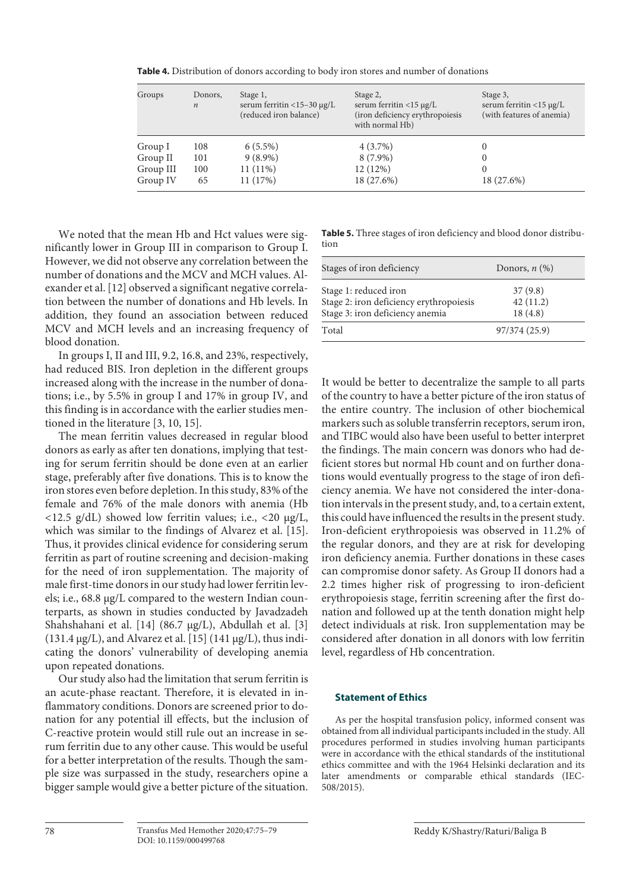| Groups    | Donors,<br>$\boldsymbol{n}$ | Stage 1,<br>serum ferritin $<$ 15-30 µg/L<br>(reduced iron balance) | Stage 2,<br>serum ferritin $<$ 15 µg/L<br>(iron deficiency erythropoiesis<br>with normal Hb) | Stage 3,<br>serum ferritin <15 µg/L<br>(with features of anemia) |
|-----------|-----------------------------|---------------------------------------------------------------------|----------------------------------------------------------------------------------------------|------------------------------------------------------------------|
| Group I   | 108                         | $6(5.5\%)$                                                          | $4(3.7\%)$                                                                                   | $\Omega$                                                         |
| Group II  | 101                         | $9(8.9\%)$                                                          | $8(7.9\%)$                                                                                   | 0                                                                |
| Group III | 100                         | $11(11\%)$                                                          | 12(12%)                                                                                      | 0                                                                |
| Group IV  | 65                          | 11(17%)                                                             | 18 (27.6%)                                                                                   | 18 (27.6%)                                                       |

**Table 4.** Distribution of donors according to body iron stores and number of donations

We noted that the mean Hb and Hct values were significantly lower in Group III in comparison to Group I. However, we did not observe any correlation between the number of donations and the MCV and MCH values. Alexander et al. [\[1](#page-4-0)[2](#page-4-1)] observed a significant negative correlation between the number of donations and Hb levels. In addition, they found an association between reduced MCV and MCH levels and an increasing frequency of blood donation.

In groups I, II and III, 9.2, 16.8, and 23%, respectively, had reduced BIS. Iron depletion in the different groups increased along with the increase in the number of donations; i.e., by 5.5% in group I and 17% in group IV, and this finding is in accordance with the earlier studies mentioned in the literature [\[3](#page-4-2), [10](#page-4-0), [1](#page-4-0)[5\]](#page-4-4).

The mean ferritin values decreased in regular blood donors as early as after ten donations, implying that testing for serum ferritin should be done even at an earlier stage, preferably after five donations. This is to know the iron stores even before depletion. In this study, 83% of the female and 76% of the male donors with anemia (Hb  $\langle 12.5 \text{ g/dL} \rangle$  showed low ferritin values; i.e.,  $\langle 20 \text{ g/L} \rangle$ which was similar to the findings of Alvarez et al. [\[1](#page-4-0)[5\]](#page-4-4). Thus, it provides clinical evidence for considering serum ferritin as part of routine screening and decision-making for the need of iron supplementation. The majority of male first-time donors in our study had lower ferritin levels; i.e., 68.8 µg/L compared to the western Indian counterparts, as shown in studies conducted by Javadzadeh Shahshahani et al. [\[1](#page-4-0)[4](#page-4-3)] (86.7 µg/L), Abdullah et al. [\[3](#page-4-2)] (131.4  $\mu$ g/L), and Alvarez et al. [\[1](#page-4-0)[5](#page-4-4)] (141  $\mu$ g/L), thus indicating the donors' vulnerability of developing anemia upon repeated donations.

Our study also had the limitation that serum ferritin is an acute-phase reactant. Therefore, it is elevated in inflammatory conditions. Donors are screened prior to donation for any potential ill effects, but the inclusion of C-reactive protein would still rule out an increase in serum ferritin due to any other cause. This would be useful for a better interpretation of the results. Though the sample size was surpassed in the study, researchers opine a bigger sample would give a better picture of the situation.

**Table 5.** Three stages of iron deficiency and blood donor distribution

| Stages of iron deficiency                                        | Donors, $n$ $(\%)$  |
|------------------------------------------------------------------|---------------------|
| Stage 1: reduced iron<br>Stage 2: iron deficiency erythropoiesis | 37(9.8)<br>42(11.2) |
| Stage 3: iron deficiency anemia                                  | 18(4.8)             |
| Total                                                            | 97/374 (25.9)       |

It would be better to decentralize the sample to all parts of the country to have a better picture of the iron status of the entire country. The inclusion of other biochemical markers such as soluble transferrin receptors, serum iron, and TIBC would also have been useful to better interpret the findings. The main concern was donors who had deficient stores but normal Hb count and on further donations would eventually progress to the stage of iron deficiency anemia. We have not considered the inter-donation intervals in the present study, and, to a certain extent, this could have influenced the results in the present study. Iron-deficient erythropoiesis was observed in 11.2% of the regular donors, and they are at risk for developing iron deficiency anemia. Further donations in these cases can compromise donor safety. As Group II donors had a 2.2 times higher risk of progressing to iron-deficient erythropoiesis stage, ferritin screening after the first donation and followed up at the tenth donation might help detect individuals at risk. Iron supplementation may be considered after donation in all donors with low ferritin level, regardless of Hb concentration.

## **Statement of Ethics**

As per the hospital transfusion policy, informed consent was obtained from all individual participants included in the study. All procedures performed in studies involving human participants were in accordance with the ethical standards of the institutional ethics committee and with the 1964 Helsinki declaration and its later amendments or comparable ethical standards (IEC-508/2015).